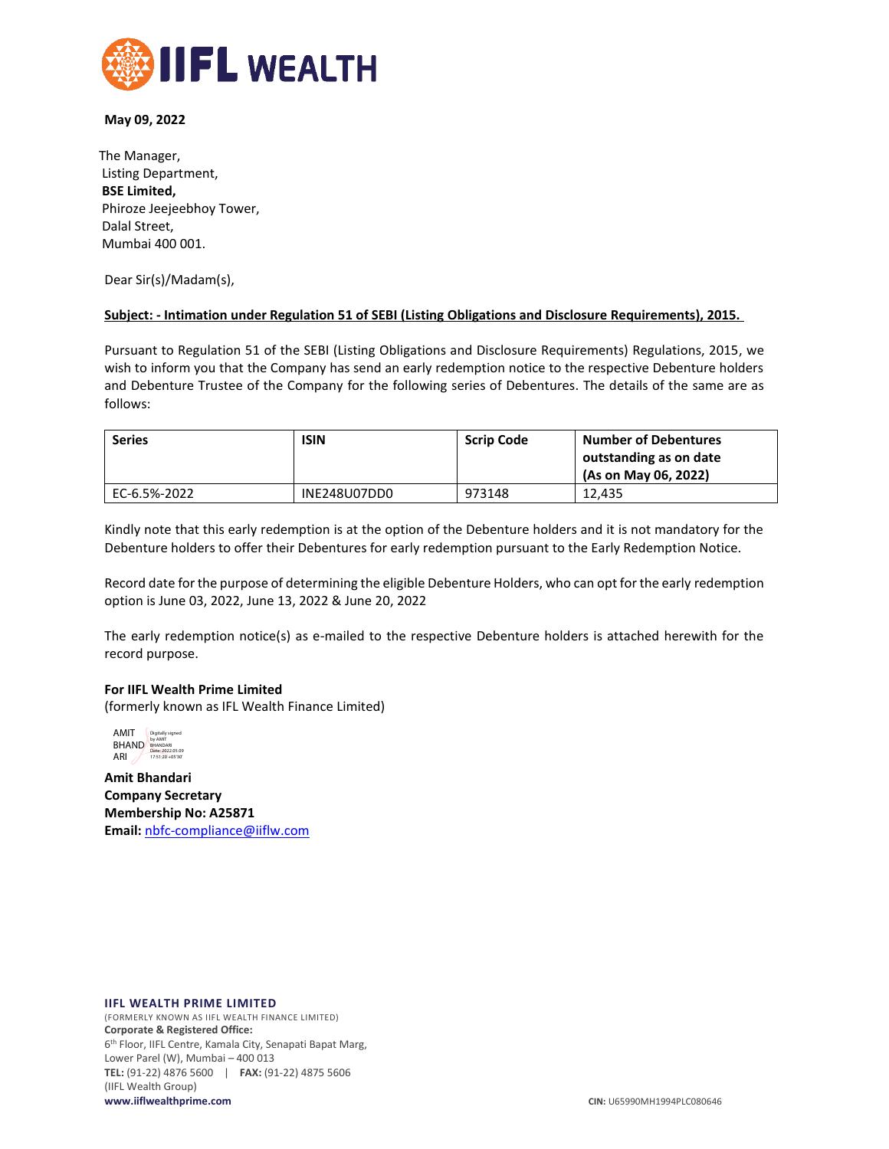

### **May 09, 2022**

The Manager, Listing Department, **BSE Limited,** Phiroze Jeejeebhoy Tower, Dalal Street, Mumbai 400 001.

Dear Sir(s)/Madam(s),

### **Subject: - Intimation under Regulation 51 of SEBI (Listing Obligations and Disclosure Requirements), 2015.**

Pursuant to Regulation 51 of the SEBI (Listing Obligations and Disclosure Requirements) Regulations, 2015, we wish to inform you that the Company has send an early redemption notice to the respective Debenture holders and Debenture Trustee of the Company for the following series of Debentures. The details of the same are as follows:

| <b>Series</b> | <b>ISIN</b>  | <b>Scrip Code</b> | <b>Number of Debentures</b>                    |  |  |
|---------------|--------------|-------------------|------------------------------------------------|--|--|
|               |              |                   | outstanding as on date<br>(As on May 06, 2022) |  |  |
| EC-6.5%-2022  | INE248U07DD0 | 973148            | 12.435                                         |  |  |

Kindly note that this early redemption is at the option of the Debenture holders and it is not mandatory for the Debenture holders to offer their Debentures for early redemption pursuant to the Early Redemption Notice.

Record date for the purpose of determining the eligible Debenture Holders, who can opt for the early redemption option is June 03, 2022, June 13, 2022 & June 20, 2022

The early redemption notice(s) as e-mailed to the respective Debenture holders is attached herewith for the record purpose.

### **For IIFL Wealth Prime Limited**

(formerly known as IFL Wealth Finance Limited)



**Amit Bhandari Company Secretary Membership No: A25871 Email:** [nbfc-compliance@iiflw.com](mailto:nbfc-compliance@iiflw.com)

#### **IIFL WEALTH PRIME LIMITED**

(FORMERLY KNOWN AS IIFL WEALTH FINANCE LIMITED) **Corporate & Registered Office:** 6 th Floor, IIFL Centre, Kamala City, Senapati Bapat Marg, Lower Parel (W), Mumbai – 400 013 **TEL:** (91-22) 4876 5600 | **FAX:** (91-22) 4875 5606 (IIFL Wealth Group) **www.iiflwealthprime.com CIN:** U65990MH1994PLC080646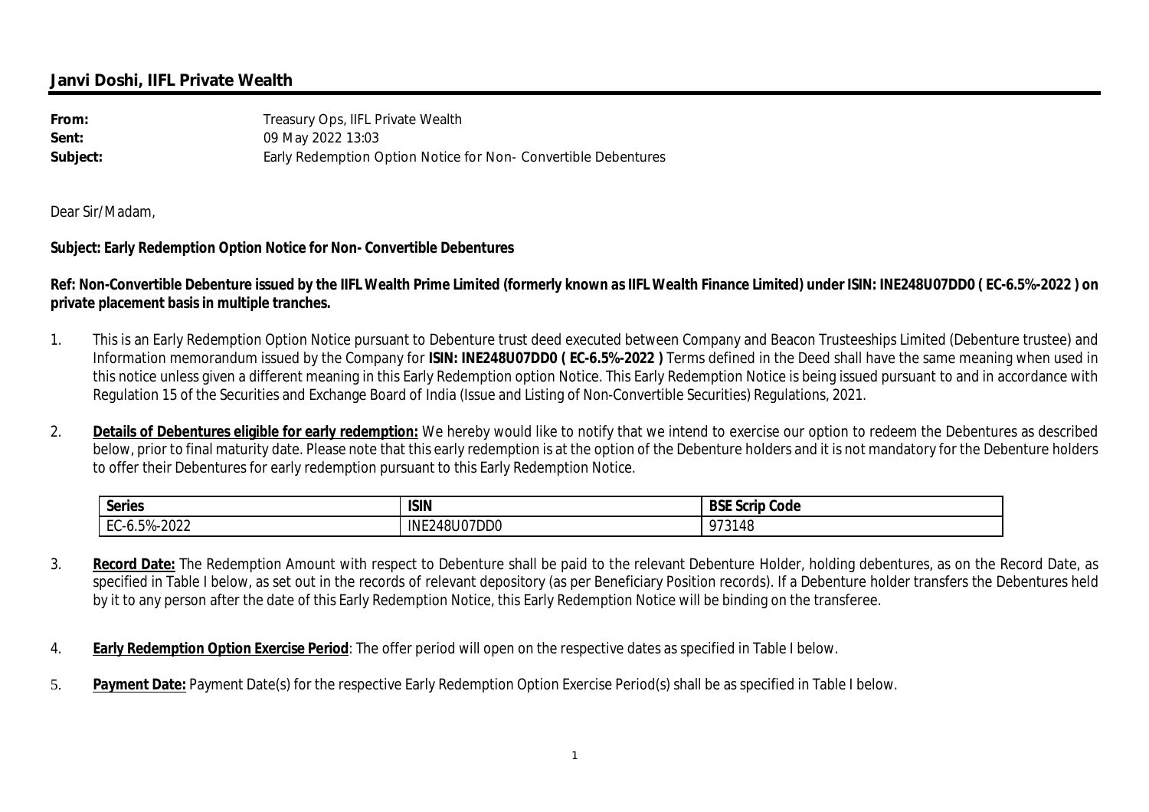# **Janvi Doshi, IIFL Private Wealth**

| From:    | Treasury Ops, IIFL Private Wealth                              |
|----------|----------------------------------------------------------------|
| Sent:    | 09 May 2022 13:03                                              |
| Subject: | Early Redemption Option Notice for Non- Convertible Debentures |

Dear Sir/Madam,

## **Subject: Early Redemption Option Notice for Non- Convertible Debentures**

**Ref: Non-Convertible Debenture issued by the IIFL Wealth Prime Limited (formerly known as IIFL Wealth Finance Limited) under ISIN: INE248U07DD0 ( EC-6.5%-2022 ) on private placement basis in multiple tranches.** 

- 1. This is an Early Redemption Option Notice pursuant to Debenture trust deed executed between Company and Beacon Trusteeships Limited (Debenture trustee) and Information memorandum issued by the Company for **ISIN: INE248U07DD0 ( EC-6.5%-2022 )** Terms defined in the Deed shall have the same meaning when used in this notice unless given a different meaning in this Early Redemption option Notice. This Early Redemption Notice is being issued pursuant to and in accordance with Regulation 15 of the Securities and Exchange Board of India (Issue and Listing of Non-Convertible Securities) Regulations, 2021.
- 2. **Details of Debentures eligible for early redemption:** We hereby would like to notify that we intend to exercise our option to redeem the Debentures as described below, prior to final maturity date. Please note that this early redemption is at the option of the Debenture holders and it is not mandatory for the Debenture holders to offer their Debentures for early redemption pursuant to this Early Redemption Notice.

| <b>Series</b>                     | <b>ISIN</b>      | <b>BSE</b> S<br>. Scrip<br>Code |
|-----------------------------------|------------------|---------------------------------|
| $-6.5% - 2022$<br>L.<br>$-n$<br>◡ | 248U07DD0<br>INE | 973148                          |

- 3. **Record Date:** The Redemption Amount with respect to Debenture shall be paid to the relevant Debenture Holder, holding debentures, as on the Record Date, as specified in Table I below, as set out in the records of relevant depository (as per Beneficiary Position records). If a Debenture holder transfers the Debentures held by it to any person after the date of this Early Redemption Notice, this Early Redemption Notice will be binding on the transferee.
- 4. **Early Redemption Option Exercise Period**: The offer period will open on the respective dates as specified in Table I below.
- 5. **Payment Date:** Payment Date(s) for the respective Early Redemption Option Exercise Period(s) shall be as specified in Table I below.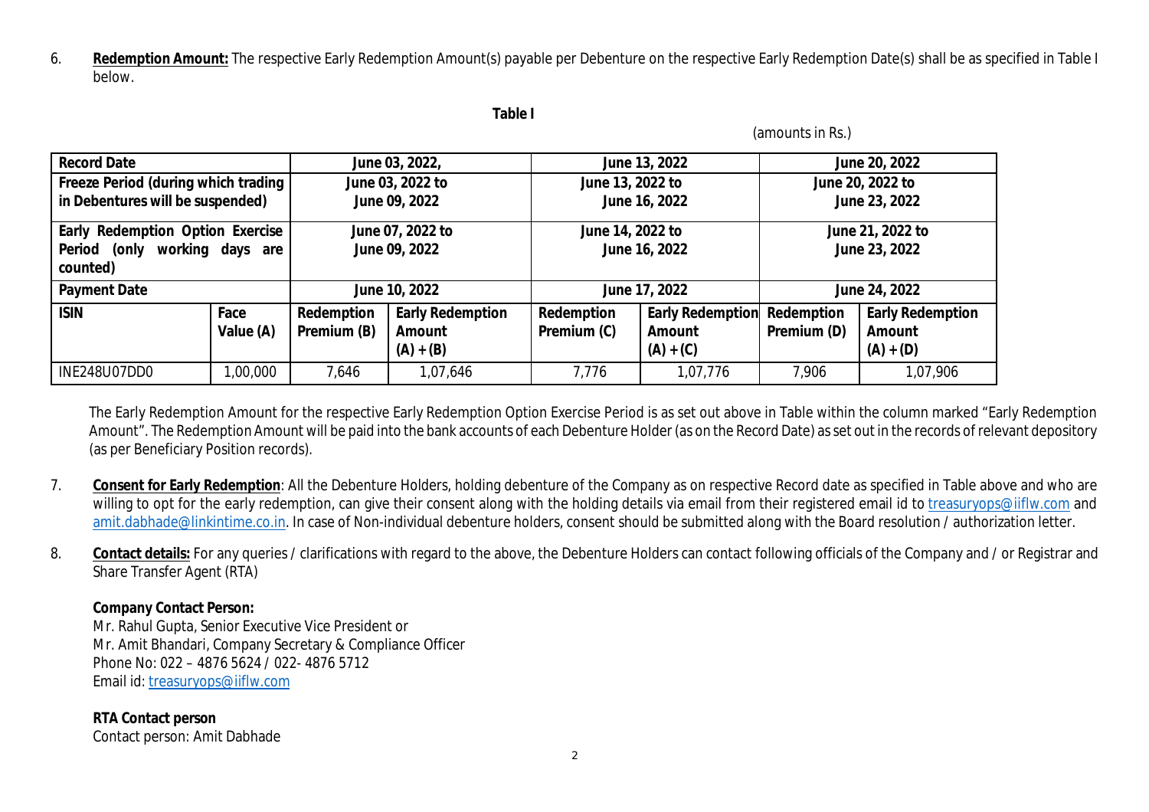6. **Redemption Amount:** The respective Early Redemption Amount(s) payable per Debenture on the respective Early Redemption Date(s) shall be as specified in Table I below.

| и<br>10<br>× |  |
|--------------|--|
|--------------|--|

(amounts in Rs.)

| <b>Record Date</b>                                                                  |                   |                                   | June 03, 2022,                                          | June 13, 2022                     |                                                         | June 20, 2022                     |                                                         |  |
|-------------------------------------------------------------------------------------|-------------------|-----------------------------------|---------------------------------------------------------|-----------------------------------|---------------------------------------------------------|-----------------------------------|---------------------------------------------------------|--|
| Freeze Period (during which trading                                                 |                   |                                   | June 03, 2022 to                                        |                                   | June 13, 2022 to                                        |                                   | June 20, 2022 to                                        |  |
| in Debentures will be suspended)                                                    |                   | June 09, 2022                     |                                                         | June 16, 2022                     |                                                         | June 23, 2022                     |                                                         |  |
| Early Redemption Option Exercise<br>working days are<br>(only<br>Period<br>counted) |                   | June 07, 2022 to<br>June 09, 2022 |                                                         | June 14, 2022 to<br>June 16, 2022 |                                                         | June 21, 2022 to<br>June 23, 2022 |                                                         |  |
| <b>Payment Date</b>                                                                 |                   | June 10, 2022                     |                                                         | June 17, 2022                     |                                                         | June 24, 2022                     |                                                         |  |
| <b>ISIN</b>                                                                         | Face<br>Value (A) | Redemption<br>Premium (B)         | <b>Early Redemption</b><br><b>Amount</b><br>$(A) + (B)$ | Redemption<br>Premium (C)         | <b>Early Redemption</b><br><b>Amount</b><br>$(A) + (C)$ | Redemption<br>Premium (D)         | <b>Early Redemption</b><br><b>Amount</b><br>$(A) + (D)$ |  |
| INE248U07DD0                                                                        | ,00,000           | 7,646                             | 1,07,646                                                | 7,776                             | 1,07,776                                                | 7,906                             | 1,07,906                                                |  |

The Early Redemption Amount for the respective Early Redemption Option Exercise Period is as set out above in Table within the column marked "Early Redemption Amount". The Redemption Amount will be paid into the bank accounts of each Debenture Holder (as on the Record Date) as set out in the records of relevant depository (as per Beneficiary Position records).

- 7. **Consent for Early Redemption**: All the Debenture Holders, holding debenture of the Company as on respective Record date as specified in Table above and who are willing to opt for the early redemption, can give their consent along with the holding details via email from their registered email id to treasuryops@iiflw.com and amit.dabhade@linkintime.co.in. In case of Non-individual debenture holders, consent should be submitted along with the Board resolution / authorization letter.
- 8. **Contact details:** For any queries / clarifications with regard to the above, the Debenture Holders can contact following officials of the Company and / or Registrar and Share Transfer Agent (RTA)

## **Company Contact Person:**

Mr. Rahul Gupta, Senior Executive Vice President or Mr. Amit Bhandari, Company Secretary & Compliance Officer Phone No: 022 – 4876 5624 / 022- 4876 5712 Email id: treasuryops@iiflw.com

**RTA Contact person**  Contact person: Amit Dabhade